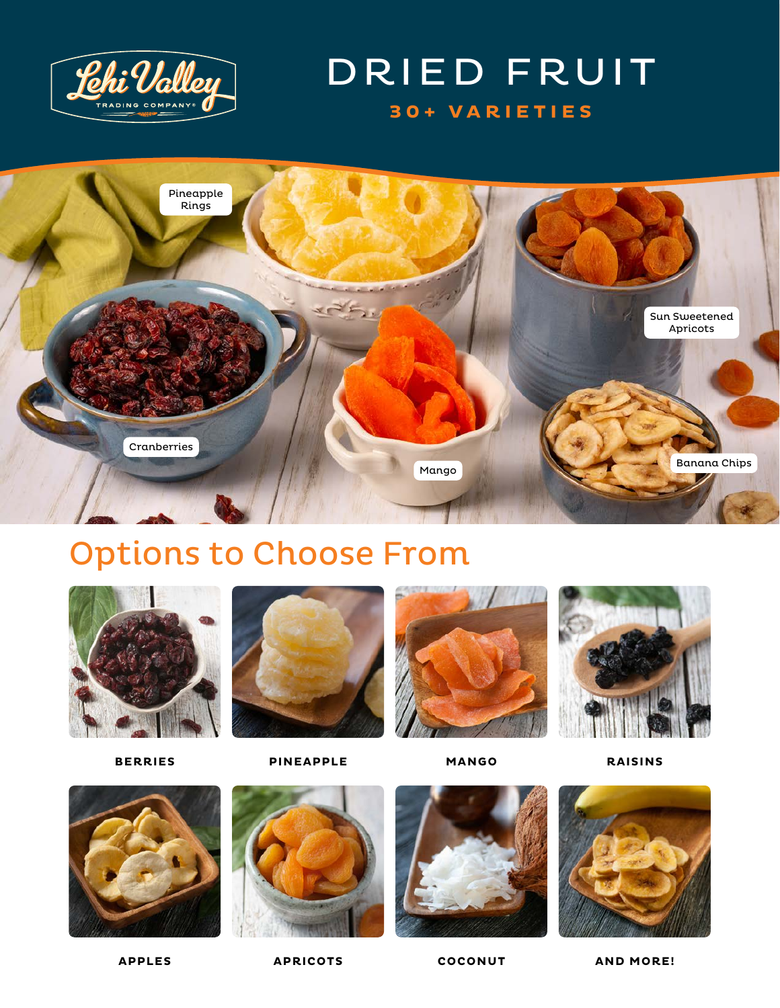

### DRIED FRUIT **30+ VARIETIES**



## Options to Choose From



**BERRIES**



**PINEAPPLE**



**MANGO**



**RAISINS**



**APPLES**



**APRICOTS**



**COCONUT AND MORE!**